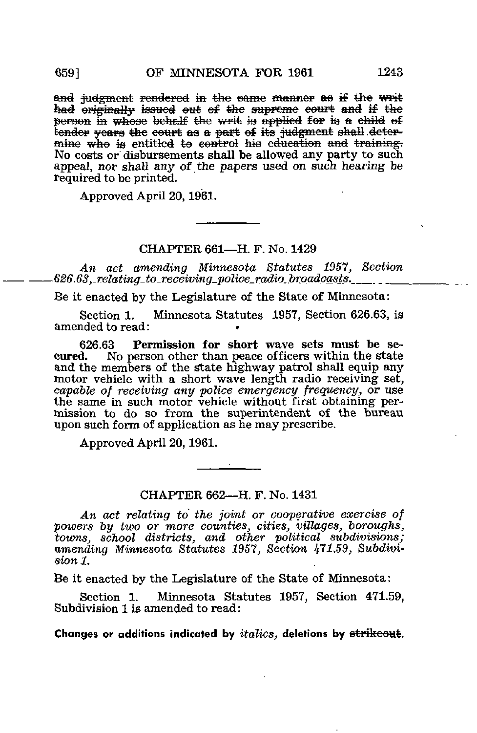and judgment rendered in the same manner as if the writ had originally issued out of the supreme court and if the person in whose behalf the writ is applied for is a child of better in whose senant the wire to approach the Hall deter-<br>tender years the court as a part of its judgment shall deter-<br>mine who is entitled to control his education and training. No costs or disbursements shall be allowed any party to such appeal, nor shall any of the papers used on such hearing be required to be printed.

Approved April 20, 1961.

## CHAPTER 661-H. F. No. 1429

An act amending Minnesota Statutes 1957, Section  $626.63$ , relating to receiving police radio broadcasts.

Be it enacted by the Legislature of the State of Minnesota:

Section 1. Minnesota Statutes 1957, Section 626.63, is amended to read:

Permission for short wave sets must be se-626.63 eured. No person other than peace officers within the state<br>and the members of the state highway patrol shall equip any<br>motor vehicle with a short wave length radio receiving set, capable of receiving any police emergency frequency, or use<br>the same in such motor vehicle without first obtaining permission to do so from the superintendent of the bureau upon such form of application as he may prescribe.

Approved April 20, 1961.

CHAPTER 662-H. F. No. 1431

An act relating to the joint or cooperative exercise of powers by two or more counties, cities, villages, boroughs, towns, school districts, and other political subdivisions;<br>amending Minnesota Statutes 1957, Section 471.59, Subdivi $sion 1$ .

Be it enacted by the Legislature of the State of Minnesota:

Minnesota Statutes 1957, Section 471.59, Section 1. Subdivision 1 is amended to read:

Changes or additions indicated by *italics*, deletions by strikeout.

6591